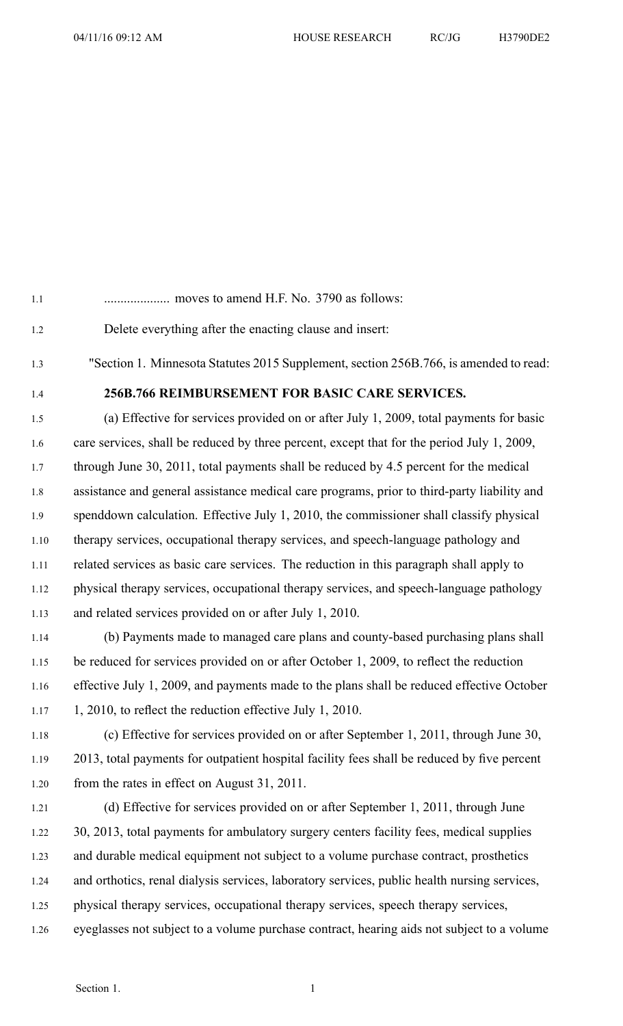1.1 .................... moves to amend H.F. No. 3790 as follows:

1.2 Delete everything after the enacting clause and insert:

1.3 "Section 1. Minnesota Statutes 2015 Supplement, section 256B.766, is amended to read:

## 1.4 **256B.766 REIMBURSEMENT FOR BASIC CARE SERVICES.**

1.5 (a) Effective for services provided on or after July 1, 2009, total payments for basic 1.6 care services, shall be reduced by three percent, excep<sup>t</sup> that for the period July 1, 2009, 1.7 through June 30, 2011, total payments shall be reduced by 4.5 percen<sup>t</sup> for the medical 1.8 assistance and general assistance medical care programs, prior to third-party liability and 1.9 spenddown calculation. Effective July 1, 2010, the commissioner shall classify physical 1.10 therapy services, occupational therapy services, and speech-language pathology and 1.11 related services as basic care services. The reduction in this paragraph shall apply to 1.12 physical therapy services, occupational therapy services, and speech-language pathology 1.13 and related services provided on or after July 1, 2010.

1.14 (b) Payments made to managed care plans and county-based purchasing plans shall 1.15 be reduced for services provided on or after October 1, 2009, to reflect the reduction 1.16 effective July 1, 2009, and payments made to the plans shall be reduced effective October 1.17 1, 2010, to reflect the reduction effective July 1, 2010.

1.18 (c) Effective for services provided on or after September 1, 2011, through June 30, 1.19 2013, total payments for outpatient hospital facility fees shall be reduced by five percen<sup>t</sup> 1.20 from the rates in effect on August 31, 2011.

1.21 (d) Effective for services provided on or after September 1, 2011, through June 1.22 30, 2013, total payments for ambulatory surgery centers facility fees, medical supplies 1.23 and durable medical equipment not subject to <sup>a</sup> volume purchase contract, prosthetics 1.24 and orthotics, renal dialysis services, laboratory services, public health nursing services, 1.25 physical therapy services, occupational therapy services, speech therapy services, 1.26 eyeglasses not subject to <sup>a</sup> volume purchase contract, hearing aids not subject to <sup>a</sup> volume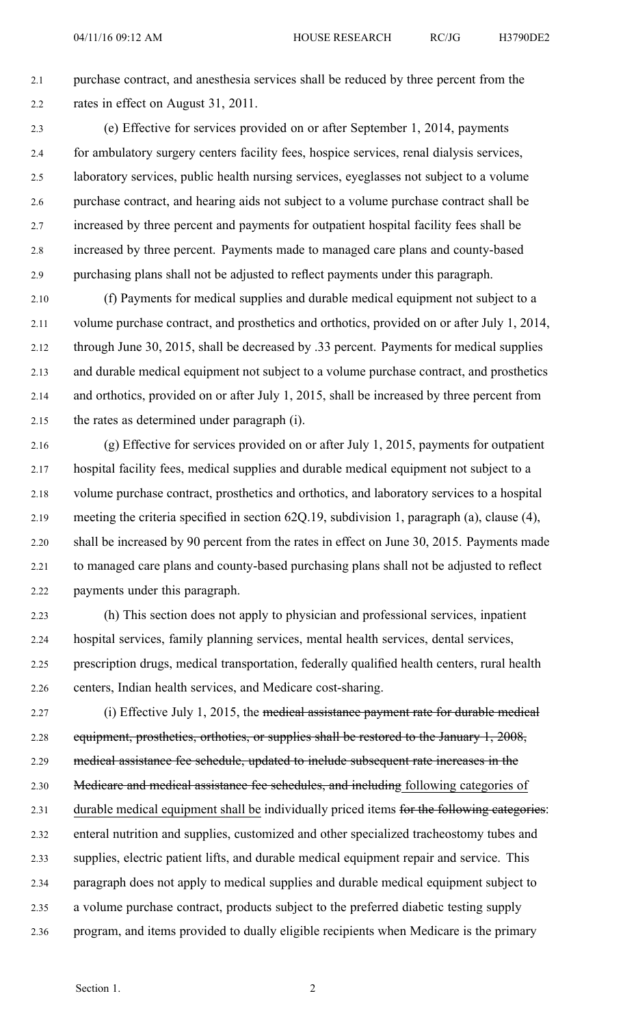2.1 purchase contract, and anesthesia services shall be reduced by three percen<sup>t</sup> from the 2.2 rates in effect on August 31, 2011.

2.3 (e) Effective for services provided on or after September 1, 2014, payments 2.4 for ambulatory surgery centers facility fees, hospice services, renal dialysis services, 2.5 laboratory services, public health nursing services, eyeglasses not subject to <sup>a</sup> volume 2.6 purchase contract, and hearing aids not subject to <sup>a</sup> volume purchase contract shall be 2.7 increased by three percen<sup>t</sup> and payments for outpatient hospital facility fees shall be 2.8 increased by three percent. Payments made to managed care plans and county-based 2.9 purchasing plans shall not be adjusted to reflect payments under this paragraph.

2.10 (f) Payments for medical supplies and durable medical equipment not subject to <sup>a</sup> 2.11 volume purchase contract, and prosthetics and orthotics, provided on or after July 1, 2014, 2.12 through June 30, 2015, shall be decreased by .33 percent. Payments for medical supplies 2.13 and durable medical equipment not subject to <sup>a</sup> volume purchase contract, and prosthetics 2.14 and orthotics, provided on or after July 1, 2015, shall be increased by three percen<sup>t</sup> from 2.15 the rates as determined under paragraph (i).

2.16 (g) Effective for services provided on or after July 1, 2015, payments for outpatient 2.17 hospital facility fees, medical supplies and durable medical equipment not subject to <sup>a</sup> 2.18 volume purchase contract, prosthetics and orthotics, and laboratory services to <sup>a</sup> hospital 2.19 meeting the criteria specified in section 62Q.19, subdivision 1, paragraph (a), clause (4), 2.20 shall be increased by 90 percen<sup>t</sup> from the rates in effect on June 30, 2015. Payments made 2.21 to managed care plans and county-based purchasing plans shall not be adjusted to reflect 2.22 payments under this paragraph.

2.23 (h) This section does not apply to physician and professional services, inpatient 2.24 hospital services, family planning services, mental health services, dental services, 2.25 prescription drugs, medical transportation, federally qualified health centers, rural health 2.26 centers, Indian health services, and Medicare cost-sharing.

2.27 (i) Effective July 1, 2015, the medical assistance payment rate for durable medical 2.28 equipment, prosthetics, orthotics, or supplies shall be restored to the January 1, 2008, 2.29 medical assistance fee schedule, updated to include subsequent rate increases in the 2.30 Medicare and medical assistance fee schedules, and including following categories of 2.31 durable medical equipment shall be individually priced items for the following categories: 2.32 enteral nutrition and supplies, customized and other specialized tracheostomy tubes and 2.33 supplies, electric patient lifts, and durable medical equipment repair and service. This 2.34 paragraph does not apply to medical supplies and durable medical equipment subject to 2.35 <sup>a</sup> volume purchase contract, products subject to the preferred diabetic testing supply 2.36 program, and items provided to dually eligible recipients when Medicare is the primary